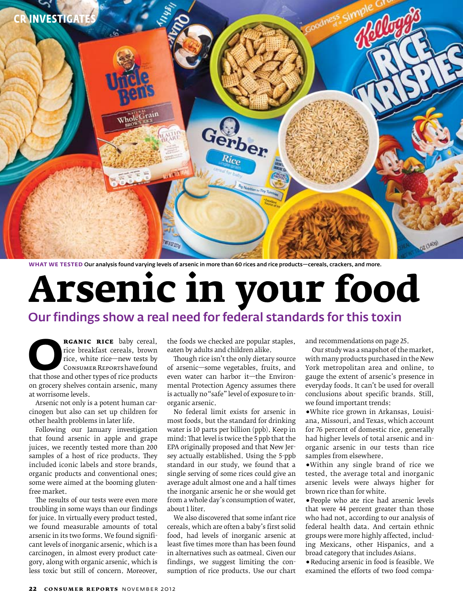

**WHAT WE TESTED** Our analysis found varying levels of arsenic in more than 60 rices and rice products—cereals, crackers, and more.

# **Arsenic in your food** Our findings show a real need for federal standards for this toxin

**RGANIC RICE** baby cereal, <br>
rice breakfast cereals, brown<br>
rice, white rice—new tests by<br>
CONSUMER REPORTS have found<br>
that those and other types of rice products rice breakfast cereals, brown rice, white rice—new tests by Consumer Reports have found on grocery shelves contain arsenic, many at worrisome levels.

Arsenic not only is a potent human carcinogen but also can set up children for other health problems in later life.

Following our January investigation that found arsenic in apple and grape juices, we recently tested more than 200 samples of a host of rice products. They included iconic labels and store brands, organic products and conventional ones; some were aimed at the booming glutenfree market.

The results of our tests were even more troubling in some ways than our findings for juice. In virtually every product tested, we found measurable amounts of total arsenic in its two forms. We found significant levels of inorganic arsenic, which is a carcinogen, in almost every product category, along with organic arsenic, which is less toxic but still of concern. Moreover,

the foods we checked are popular staples, eaten by adults and children alike.

Though rice isn't the only dietary source of arsenic—some vegetables, fruits, and even water can harbor it—the Environmental Protection Agency assumes there is actually no "safe" level of exposure to inorganic arsenic.

No federal limit exists for arsenic in most foods, but the standard for drinking water is 10 parts per billion (ppb). Keep in mind: That level is twice the 5 ppb that the EPA originally proposed and that New Jersey actually established. Using the 5-ppb standard in our study, we found that a single serving of some rices could give an average adult almost one and a half times the inorganic arsenic he or she would get from a whole day's consumption of water, about 1 liter.

We also discovered that some infant rice cereals, which are often a baby's first solid food, had levels of inorganic arsenic at least five times more than has been found in alternatives such as oatmeal. Given our findings, we suggest limiting the consumption of rice products. Use our chart and recommendations on page 25.

Our study was a snapshot of the market, with many products purchased in the New York metropolitan area and online, to gauge the extent of arsenic's presence in everyday foods. It can't be used for overall conclusions about specific brands. Still, we found important trends:

**ř**White rice grown in Arkansas, Louisiana, Missouri, and Texas, which account for 76 percent of domestic rice, generally had higher levels of total arsenic and inorganic arsenic in our tests than rice samples from elsewhere.

•Within any single brand of rice we tested, the average total and inorganic arsenic levels were always higher for brown rice than for white.

**ř**People who ate rice had arsenic levels that were 44 percent greater than those who had not, according to our analysis of federal health data. And certain ethnic groups were more highly affected, including Mexicans, other Hispanics, and a broad category that includes Asians.

**ř**Reducing arsenic in food is feasible. We examined the efforts of two food compa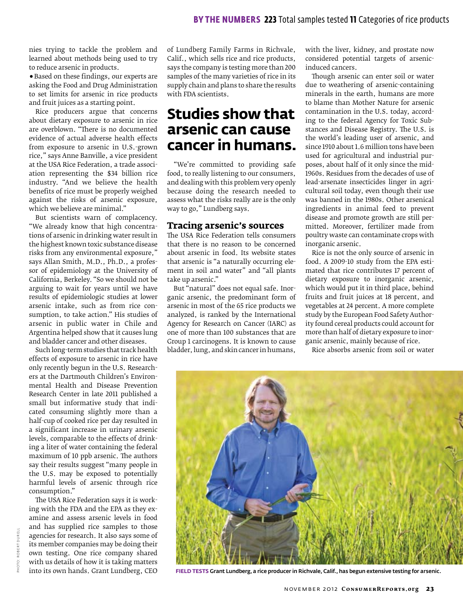nies trying to tackle the problem and learned about methods being used to try to reduce arsenic in products.

**ř**Based on these findings, our experts are asking the Food and Drug Administration to set limits for arsenic in rice products and fruit juices as a starting point.

Rice producers argue that concerns about dietary exposure to arsenic in rice are overblown. "There is no documented evidence of actual adverse health effects from exposure to arsenic in U.S.-grown rice," says Anne Banville, a vice president at the USA Rice Federation, a trade association representing the \$34 billion rice industry. "And we believe the health benefits of rice must be properly weighed against the risks of arsenic exposure, which we believe are minimal."

But scientists warn of complacency. "We already know that high concentrations of arsenic in drinking water result in the highest known toxic substance disease risks from any environmental exposure," says Allan Smith, M.D., Ph.D., a professor of epidemiology at the University of California, Berkeley. "So we should not be arguing to wait for years until we have results of epidemiologic studies at lower arsenic intake, such as from rice consumption, to take action." His studies of arsenic in public water in Chile and Argentina helped show that it causes lung and bladder cancer and other diseases.

Such long-term studies that track health effects of exposure to arsenic in rice have only recently begun in the U.S. Researchers at the Dartmouth Children's Environmental Health and Disease Prevention Research Center in late 2011 published a small but informative study that indicated consuming slightly more than a half-cup of cooked rice per day resulted in a significant increase in urinary arsenic levels, comparable to the effects of drinking a liter of water containing the federal maximum of 10 ppb arsenic. The authors say their results suggest "many people in the U.S. may be exposed to potentially harmful levels of arsenic through rice consumption."

The USA Rice Federation says it is working with the FDA and the EPA as they examine and assess arsenic levels in food and has supplied rice samples to those agencies for research. It also says some of its member companies may be doing their own testing. One rice company shared with us details of how it is taking matters into its own hands. Grant Lundberg, CEO

of Lundberg Family Farms in Richvale, Calif., which sells rice and rice products, says the company is testing more than 200 samples of the many varieties of rice in its supply chain and plans to share the results with FDA scientists.

### **Studies show that arsenic can cause cancer in humans.**

"We're committed to providing safe food, to really listening to our consumers, and dealing with this problem very openly because doing the research needed to assess what the risks really are is the only way to go," Lundberg says.

### **Tracing arsenic's sources**

The USA Rice Federation tells consumers that there is no reason to be concerned about arsenic in food. Its website states that arsenic is "a naturally occurring element in soil and water" and "all plants take up arsenic."

But "natural" does not equal safe. Inorganic arsenic, the predominant form of arsenic in most of the 65 rice products we analyzed, is ranked by the International Agency for Research on Cancer (IARC) as one of more than 100 substances that are Group 1 carcinogens. It is known to cause bladder, lung, and skin cancer in humans, with the liver, kidney, and prostate now considered potential targets of arsenicinduced cancers.

Though arsenic can enter soil or water due to weathering of arsenic-containing minerals in the earth, humans are more to blame than Mother Nature for arsenic contamination in the U.S. today, according to the federal Agency for Toxic Substances and Disease Registry. The U.S. is the world's leading user of arsenic, and since 1910 about 1.6 million tons have been used for agricultural and industrial purposes, about half of it only since the mid-1960s. Residues from the decades of use of lead-arsenate insecticides linger in agricultural soil today, even though their use was banned in the 1980s. Other arsenical ingredients in animal feed to prevent disease and promote growth are still permitted. Moreover, fertilizer made from poultry waste can contaminate crops with inorganic arsenic.

Rice is not the only source of arsenic in food. A 2009-10 study from the EPA estimated that rice contributes 17 percent of dietary exposure to inorganic arsenic, which would put it in third place, behind fruits and fruit juices at 18 percent, and vegetables at 24 percent. A more complete study by the European Food Safety Authority found cereal products could account for more than half of dietary exposure to inorganic arsenic, mainly because of rice.

Rice absorbs arsenic from soil or water



**FIELD TESTS** Grant Lundberg, a rice producer in Richvale, Calif., has begun extensive testing for arsenic.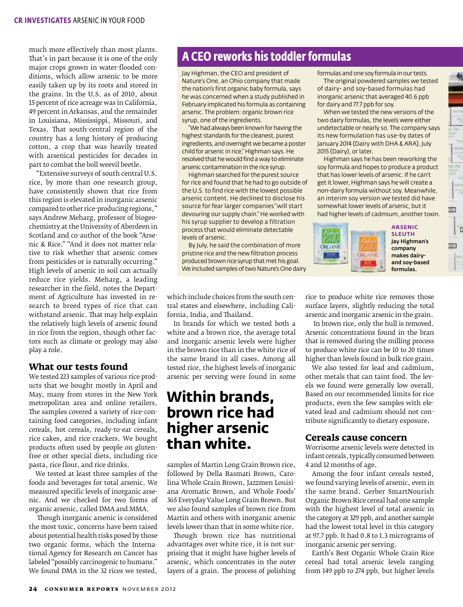much more effectively than most plants. That's in part because it is one of the only major crops grown in water-flooded conditions, which allow arsenic to be more easily taken up by its roots and stored in the grains. In the U.S. as of 2010, about 15 percent of rice acreage was in California, 49 percent in Arkansas, and the remainder in Louisiana, Mississippi, Missouri, and Texas. That south-central region of the country has a long history of producing cotton, a crop that was heavily treated with arsenical pesticides for decades in part to combat the boll weevil beetle.

 "Extensive surveys of south central U.S. rice, by more than one research group, have consistently shown that rice from this region is elevated in inorganic arsenic compared to other rice-producing regions," says Andrew Meharg, professor of biogeochemistry at the University of Aberdeen in Scotland and co-author of the book "Arsenic & Rice." "And it does not matter relative to risk whether that arsenic comes from pesticides or is naturally occurring." High levels of arsenic in soil can actually reduce rice yields. Meharg, a leading researcher in the field, notes the Department of Agriculture has invested in research to breed types of rice that can withstand arsenic. That may help explain the relatively high levels of arsenic found in rice from the region, though other factors such as climate or geology may also play a role.

### **What our tests found**

We tested 223 samples of various rice products that we bought mostly in April and May, many from stores in the New York metropolitan area and online retailers. The samples covered a variety of rice-containing food categories, including infant cereals, hot cereals, ready-to-eat cereals, rice cakes, and rice crackers. We bought products often used by people on glutenfree or other special diets, including rice pasta, rice flour, and rice drinks.

We tested at least three samples of the foods and beverages for total arsenic. We measured specific levels of inorganic arsenic. And we checked for two forms of organic arsenic, called DMA and MMA.

Though inorganic arsenic is considered the most toxic, concerns have been raised about potential health risks posed by those two organic forms, which the International Agency for Research on Cancer has labeled "possibly carcinogenic to humans." We found DMA in the 32 rices we tested,

### **A CEO reworks his toddler formulas**

Jay Highman, the CEO and president of Nature's One, an Ohio company that made the nation's first organic baby formula, says he was concerned when a study published in February implicated his formula as containing arsenic. The problem: organic brown rice syrup, one of the ingredients.

"We had always been known for having the highest standards for the cleanest, purest ingredients, and overnight we became a poster child for arsenic in rice," Highman says. He resolved that he would find a way to eliminate arsenic contamination in the rice syrup.

Highman searched for the purest source for rice and found that he had to go outside of the U.S. to find rice with the lowest possible arsenic content. He declined to disclose his source for fear larger companies "will start devouring our supply chain." He worked with his syrup supplier to develop a filtration process that would eliminate detectable levels of arsenic.

By July, he said the combination of more pristine rice and the new filtration process produced brown rice syrup that met his goal. We included samples of two Nature's One dairy

which include choices from the south central states and elsewhere, including California, India, and Thailand.

In brands for which we tested both a white and a brown rice, the average total and inorganic arsenic levels were higher in the brown rice than in the white rice of the same brand in all cases. Among all tested rice, the highest levels of inorganic arsenic per serving were found in some

### **Within brands, brown rice had higher arsenic than white.**

samples of Martin Long Grain Brown rice, followed by Della Basmati Brown, Carolina Whole Grain Brown, Jazzmen Louisiana Aromatic Brown, and Whole Foods' 365 Everyday Value Long Grain Brown. But we also found samples of brown rice from Martin and others with inorganic arsenic levels lower than that in some white rice.

Though brown rice has nutritional advantages over white rice, it is not surprising that it might have higher levels of arsenic, which concentrates in the outer layers of a grain. The process of polishing formulas and one soy formula in our tests.

The original powdered samples we tested of dairy- and soy-based formulas had inorganic arsenic that averaged 40.6 ppb for dairy and 77.7 ppb for soy.

When we tested the new versions of the two dairy formulas, the levels were either undetectable or nearly so. The company says its new formulation has use-by dates of January 2014 (Dairy with DHA & ARA), July 2015 (Dairy), or later.

Highman says he has been reworking the soy formula and hopes to produce a product that has lower levels of arsenic. If he can't get it lower, Highman says he will create a non-dairy formula without soy. Meanwhile, an interim soy version we tested did have somewhat lower levels of arsenic, but it had higher levels of cadmium, another toxin.



**ARSENIC SLEUTH** Jay Highman's company makes dairyand soy-based formulas.

 $\blacksquare$ 

**NUTS** 

NEZVI

m

UII)

r

rice to produce white rice removes those surface layers, slightly reducing the total arsenic and inorganic arsenic in the grain.

 In brown rice, only the hull is removed. Arsenic concentrations found in the bran that is removed during the milling process to produce white rice can be 10 to 20 times higher than levels found in bulk rice grain.

We also tested for lead and cadmium, other metals that can taint food. The levels we found were generally low overall. Based on our recommended limits for rice products, even the few samples with elevated lead and cadmium should not contribute significantly to dietary exposure.

### **Cereals cause concern**

Worrisome arsenic levels were detected in infant cereals, typically consumed between 4 and 12 months of age.

Among the four infant cereals tested, we found varying levels of arsenic, even in the same brand. Gerber SmartNourish Organic Brown Rice cereal had one sample with the highest level of total arsenic in the category at 329 ppb, and another sample had the lowest total level in this category at 97.7 ppb. It had 0.8 to 1.3 micrograms of inorganic arsenic per serving.

Earth's Best Organic Whole Grain Rice cereal had total arsenic levels ranging from 149 ppb to 274 ppb, but higher levels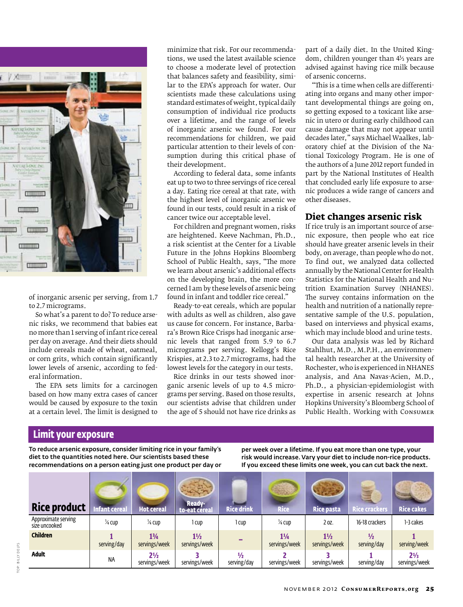

of inorganic arsenic per serving, from 1.7 to 2.7 micrograms.

So what's a parent to do? To reduce arsenic risks, we recommend that babies eat no more than 1 serving of infant rice cereal per day on average. And their diets should include cereals made of wheat, oatmeal, or corn grits, which contain significantly lower levels of arsenic, according to federal information.

The EPA sets limits for a carcinogen based on how many extra cases of cancer would be caused by exposure to the toxin at a certain level. The limit is designed to

tions, we used the latest available science to choose a moderate level of protection that balances safety and feasibility, similar to the EPA's approach for water. Our scientists made these calculations using standard estimates of weight, typical daily consumption of individual rice products over a lifetime, and the range of levels of inorganic arsenic we found. For our recommendations for children, we paid particular attention to their levels of consumption during this critical phase of their development.

According to federal data, some infants eat up to two to three servings of rice cereal a day. Eating rice cereal at that rate, with the highest level of inorganic arsenic we found in our tests, could result in a risk of cancer twice our acceptable level.

For children and pregnant women, risks are heightened. Keeve Nachman, Ph.D., a risk scientist at the Center for a Livable Future in the Johns Hopkins Bloomberg School of Public Health, says, "The more we learn about arsenic's additional effects on the developing brain, the more concerned I am by these levels of arsenic being found in infant and toddler rice cereal."

Ready-to-eat cereals, which are popular with adults as well as children, also gave us cause for concern. For instance, Barbara's Brown Rice Crisps had inorganic arsenic levels that ranged from 5.9 to 6.7 micrograms per serving. Kellogg's Rice Krispies, at 2.3 to 2.7 micrograms, had the lowest levels for the category in our tests.

Rice drinks in our tests showed inorganic arsenic levels of up to 4.5 micrograms per serving. Based on those results, our scientists advise that children under the age of 5 should not have rice drinks as

part of a daily diet. In the United Kingdom, children younger than 4½ years are advised against having rice milk because of arsenic concerns.

"This is a time when cells are differentiating into organs and many other important developmental things are going on, so getting exposed to a toxicant like arsenic in utero or during early childhood can cause damage that may not appear until decades later," says Michael Waalkes, laboratory chief at the Division of the National Toxicology Program. He is one of the authors of a June 2012 report funded in part by the National Institutes of Health that concluded early life exposure to arsenic produces a wide range of cancers and other diseases.

### **Diet changes arsenic risk**

If rice truly is an important source of arsenic exposure, then people who eat rice should have greater arsenic levels in their body, on average, than people who do not. To find out, we analyzed data collected annually by the National Center for Health Statistics for the National Health and Nutrition Examination Survey (NHANES). The survey contains information on the health and nutrition of a nationally representative sample of the U.S. population, based on interviews and physical exams, which may include blood and urine tests.

Our data analysis was led by Richard Stahlhut, M.D., M.P.H., an environmental health researcher at the University of Rochester, who is experienced in NHANES analysis, and Ana Navas-Acien, M.D., Ph.D., a physician-epidemiologist with expertise in arsenic research at Johns Hopkins University's Bloomberg School of Public Health. Working with Consumer

### **Limit your exposure**

To reduce arsenic exposure, consider limiting rice in your family's diet to the quantities noted here. Our scientists based these recommendations on a person eating just one product per day or per week over a lifetime. If you eat more than one type, your risk would increase. Vary your diet to include non-rice products. If you exceed these limits one week, you can cut back the next.

| <b>Rice product</b>                  | <b>Infant cereal</b> | <b>Hot cereal</b>               | -Ready<br>to-eat cereal         | <b>Rice drink</b>            | <b>Rice</b>                     | <b>Rice pasta</b>               | <b>Rice crackers</b>         | <b>Rice cakes</b>               |
|--------------------------------------|----------------------|---------------------------------|---------------------------------|------------------------------|---------------------------------|---------------------------------|------------------------------|---------------------------------|
| Approximate serving<br>size uncooked | 1⁄4 cup              | 1⁄4 CUD                         | 1 cup                           | l cup                        | $\frac{1}{4}$ Cup               | 2 oz.                           | 16-18 crackers               | 1-3 cakes                       |
| <b>Children</b>                      | serving/day          | $1\frac{3}{4}$<br>servings/week | $1\frac{1}{2}$<br>servings/week |                              | $1\frac{1}{4}$<br>servings/week | $1\frac{1}{2}$<br>servings/week | $\frac{1}{2}$<br>serving/day | serving/week                    |
| <b>Adult</b>                         | <b>NA</b>            | $2\frac{1}{2}$<br>servings/week | servings/week                   | $\frac{1}{2}$<br>serving/day | servings/week                   | servings/week                   | serving/day                  | $2\frac{1}{3}$<br>servings/week |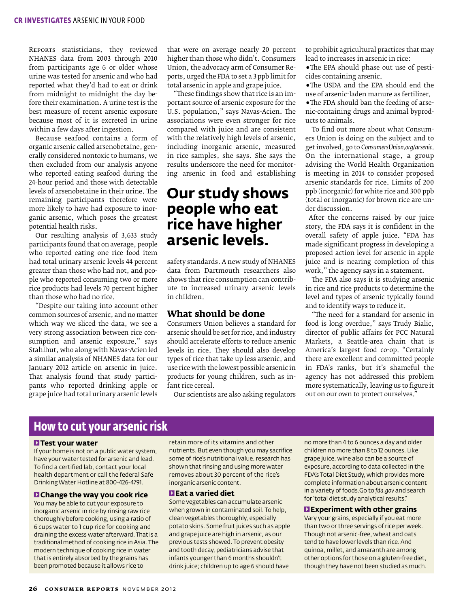Reports statisticians, they reviewed NHANES data from 2003 through 2010 from participants age 6 or older whose urine was tested for arsenic and who had reported what they'd had to eat or drink from midnight to midnight the day before their examination. A urine test is the best measure of recent arsenic exposure because most of it is excreted in urine within a few days after ingestion.

Because seafood contains a form of organic arsenic called arsenobetaine, generally considered nontoxic to humans, we then excluded from our analysis anyone who reported eating seafood during the 24-hour period and those with detectable levels of arsenobetaine in their urine. The remaining participants therefore were more likely to have had exposure to inorganic arsenic, which poses the greatest potential health risks.

Our resulting analysis of 3,633 study participants found that on average, people who reported eating one rice food item had total urinary arsenic levels 44 percent greater than those who had not, and people who reported consuming two or more rice products had levels 70 percent higher than those who had no rice.

"Despite our taking into account other common sources of arsenic, and no matter which way we sliced the data, we see a very strong association between rice consumption and arsenic exposure," says Stahlhut, who along with Navas-Acien led a similar analysis of NHANES data for our January 2012 article on arsenic in juice. That analysis found that study participants who reported drinking apple or grape juice had total urinary arsenic levels

that were on average nearly 20 percent higher than those who didn't. Consumers Union, the advocacy arm of Consumer Reports, urged the FDA to set a 3 ppb limit for total arsenic in apple and grape juice.

"These findings show that rice is an important source of arsenic exposure for the U.S. population," says Navas-Acien. The associations were even stronger for rice compared with juice and are consistent with the relatively high levels of arsenic, including inorganic arsenic, measured in rice samples, she says. She says the results underscore the need for monitoring arsenic in food and establishing

### **Our study shows people who eat rice have higher arsenic levels.**

safety standards. A new study of NHANES data from Dartmouth researchers also shows that rice consumption can contribute to increased urinary arsenic levels in children.

### **What should be done**

Consumers Union believes a standard for arsenic should be set for rice, and industry should accelerate efforts to reduce arsenic levels in rice. They should also develop types of rice that take up less arsenic, and use rice with the lowest possible arsenic in products for young children, such as infant rice cereal.

Our scientists are also asking regulators

to prohibit agricultural practices that may lead to increases in arsenic in rice:

•The EPA should phase out use of pesticides containing arsenic.

•The USDA and the EPA should end the use of arsenic-laden manure as fertilizer.

•The FDA should ban the feeding of arsenic-containing drugs and animal byproducts to animals.

To find out more about what Consumers Union is doing on the subject and to get involved, go to *ConsumersUnion.org/arsenic.* On the international stage, a group advising the World Health Organization is meeting in 2014 to consider proposed arsenic standards for rice. Limits of 200 ppb (inorganic) for white rice and 300 ppb (total or inorganic) for brown rice are under discussion.

 After the concerns raised by our juice story, the FDA says it is confident in the overall safety of apple juice. "FDA has made significant progress in developing a proposed action level for arsenic in apple juice and is nearing completion of this work," the agency says in a statement.

The FDA also says it is studying arsenic in rice and rice products to determine the level and types of arsenic typically found and to identify ways to reduce it.

"The need for a standard for arsenic in food is long overdue," says Trudy Bialic, director of public affairs for PCC Natural Markets, a Seattle-area chain that is America's largest food co-op. "Certainly there are excellent and committed people in FDA's ranks, but it's shameful the agency has not addressed this problem more systematically, leaving us to figure it out on our own to protect ourselves."

### **How to cut your arsenic risk**

#### 1**Test your water**

If your home is not on a public water system, have your water tested for arsenic and lead. To find a certified lab, contact your local health department or call the federal Safe Drinking Water Hotline at 800-426-4791.

#### 1**Change the way you cook rice**

You may be able to cut your exposure to inorganic arsenic in rice by rinsing raw rice thoroughly before cooking, using a ratio of 6 cups water to 1 cup rice for cooking and draining the excess water afterward. That is a traditional method of cooking rice in Asia. The modern technique of cooking rice in water that is entirely absorbed by the grains has been promoted because it allows rice to

retain more of its vitamins and other nutrients. But even though you may sacrifice some of rice's nutritional value, research has shown that rinsing and using more water removes about 30 percent of the rice's inorganic arsenic content.

#### 1**Eat a varied diet**

Some vegetables can accumulate arsenic when grown in contaminated soil. To help, clean vegetables thoroughly, especially potato skins. Some fruit juices such as apple and grape juice are high in arsenic, as our previous tests showed. To prevent obesity and tooth decay, pediatricians advise that infants younger than 6 months shouldn't drink juice; children up to age 6 should have

no more than 4 to 6 ounces a day and older children no more than 8 to 12 ounces. Like grape juice, wine also can be a source of exposure, according to data collected in the FDA's Total Diet Study, which provides more complete information about arsenic content in a variety of foods.Go to *fda.gov* and search for "total diet study analytical results."

#### 1**Experiment with other grains**

Vary your grains, especially if you eat more than two or three servings of rice per week. Though not arsenic-free, wheat and oats tend to have lower levels than rice. And quinoa, millet, and amaranth are among other options for those on a gluten-free diet, though they have not been studied as much.